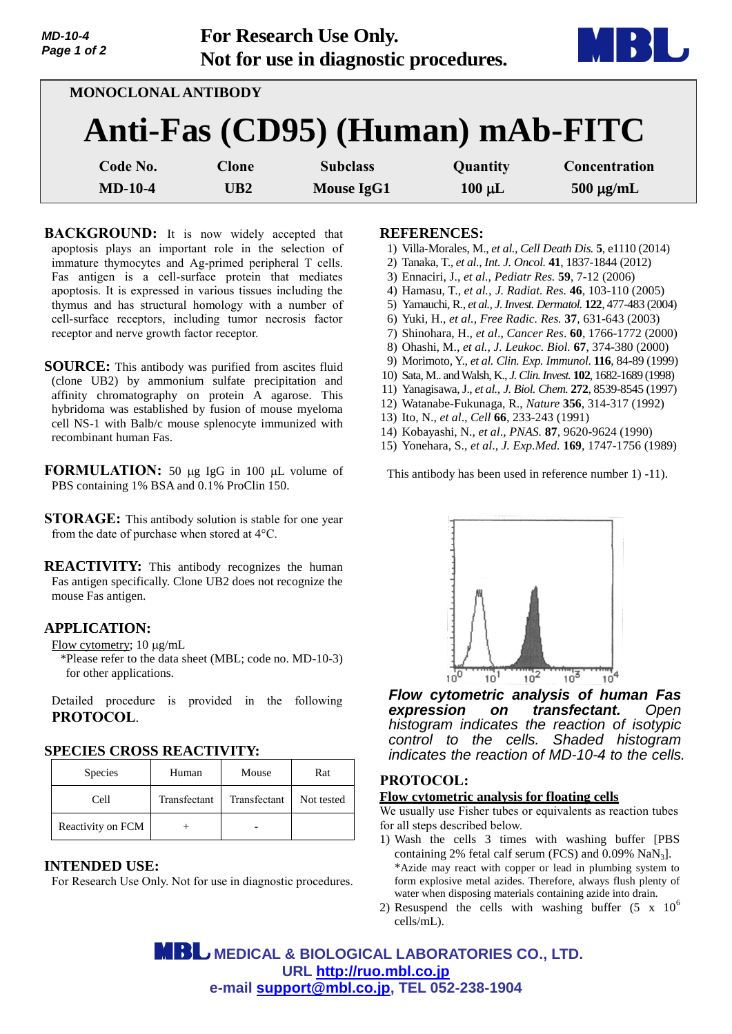| MD-10-4<br>Page 1 of 2 |                            | <b>For Research Use Only.</b><br>Not for use in diagnostic procedures. |             |                |
|------------------------|----------------------------|------------------------------------------------------------------------|-------------|----------------|
|                        | <b>MONOCLONAL ANTIBODY</b> |                                                                        |             |                |
|                        |                            | Anti-Fas (CD95) (Human) mAb-FITC                                       |             |                |
| Code No.               | <b>Clone</b>               | <b>Subclass</b>                                                        | Quantity    | Concentration  |
| $MD-10-4$              | UB2                        | <b>Mouse IgG1</b>                                                      | $100 \mu L$ | $500 \mu g/mL$ |

- **BACKGROUND:** It is now widely accepted that apoptosis plays an important role in the selection of immature thymocytes and Ag-primed peripheral T cells. Fas antigen is a cell-surface protein that mediates apoptosis. It is expressed in various tissues including the thymus and has structural homology with a number of cell-surface receptors, including tumor necrosis factor receptor and nerve growth factor receptor.
- **SOURCE:** This antibody was purified from ascites fluid (clone UB2) by ammonium sulfate precipitation and affinity chromatography on protein A agarose. This hybridoma was established by fusion of mouse myeloma cell NS-1 with Balb/c mouse splenocyte immunized with recombinant human Fas.
- **FORMULATION:** 50 µg IgG in 100 µL volume of PBS containing 1% BSA and 0.1% ProClin 150.
- **STORAGE:** This antibody solution is stable for one year from the date of purchase when stored at 4°C.
- **REACTIVITY:** This antibody recognizes the human Fas antigen specifically. Clone UB2 does not recognize the mouse Fas antigen.

# **APPLICATION:**

Flow cytometry;  $10 \mu g/mL$ 

\*Please refer to the data sheet (MBL; code no. MD-10-3) for other applications.

Detailed procedure is provided in the following **PROTOCOL**.

## **SPECIES CROSS REACTIVITY:**

| <b>Species</b>    | Human        | Mouse        | Rat        |
|-------------------|--------------|--------------|------------|
| Cell              | Transfectant | Transfectant | Not tested |
| Reactivity on FCM |              |              |            |

## **INTENDED USE:**

For Research Use Only. Not for use in diagnostic procedures.

## **REFERENCES:**

1) Villa-Morales, M., *et al., Cell Death Dis.* **5**, e1110 (2014)

- 2) Tanaka, T., *et al., Int. J. Oncol.* **41**, 1837-1844 (2012)
- 3) Ennaciri, J., *et al., Pediatr Res.* **59**, 7-12 (2006)
- 4) Hamasu, T., *et al., J. Radiat. Res.* **46**, 103-110 (2005)
- 5) Yamauchi, R., *et al., J. Invest. Dermatol.* **122**, 477-483 (2004)
- 6) Yuki, H., *et al., Free Radic. Res.* **37**, 631-643 (2003)
- 7) Shinohara, H., *et al*., *Cancer Res*. **60**, 1766-1772 (2000)
- 8) Ohashi, M., *et al., J. Leukoc. Biol.* **67**, 374-380 (2000)
- 9) Morimoto, Y., *et al. Clin. Exp. Immunol*. **116**, 84-89 (1999)
- 10) Sata, M.. and Walsh, K., *J. Clin. Invest.* **102**, 1682-1689 (1998)
- 11) Yanagisawa, J., *et al., J. Biol. Chem.* **272**, 8539-8545 (1997)
- 12) Watanabe-Fukunaga, R., *Nature* **356**, 314-317 (1992)
- 13) Ito, N., *et al*., *Cell* **66**, 233-243 (1991)
- 14) Kobayashi, N., *et al*., *PNAS.* **87**, 9620-9624 (1990)
- 15) Yonehara, S., *et al*., *J. Exp.Med.* **169**, 1747-1756 (1989)

This antibody has been used in reference number 1) -11).



*Flow cytometric analysis of human Fas expression on transfectant. Open histogram indicates the reaction of isotypic control to the cells. Shaded histogram indicates the reaction of MD-10-4 to the cells.*

# **PROTOCOL:**

#### **Flow cytometric analysis for floating cells**

We usually use Fisher tubes or equivalents as reaction tubes for all steps described below.

- 1) Wash the cells 3 times with washing buffer [PBS containing 2% fetal calf serum (FCS) and  $0.09\%$  NaN<sub>3</sub>]. \*Azide may react with copper or lead in plumbing system to form explosive metal azides. Therefore, always flush plenty of water when disposing materials containing azide into drain.
- 2) Resuspend the cells with washing buffer  $(5 \times 10^6$ cells/mL).

 **MEDICAL & BIOLOGICAL LABORATORIES CO., LTD. URL [http://ruo.mbl.co.jp](https://res.mbl.co.jp/) e-mail [support@mbl.co.jp,](mailto:support@mbl.co.jp) TEL 052-238-1904**